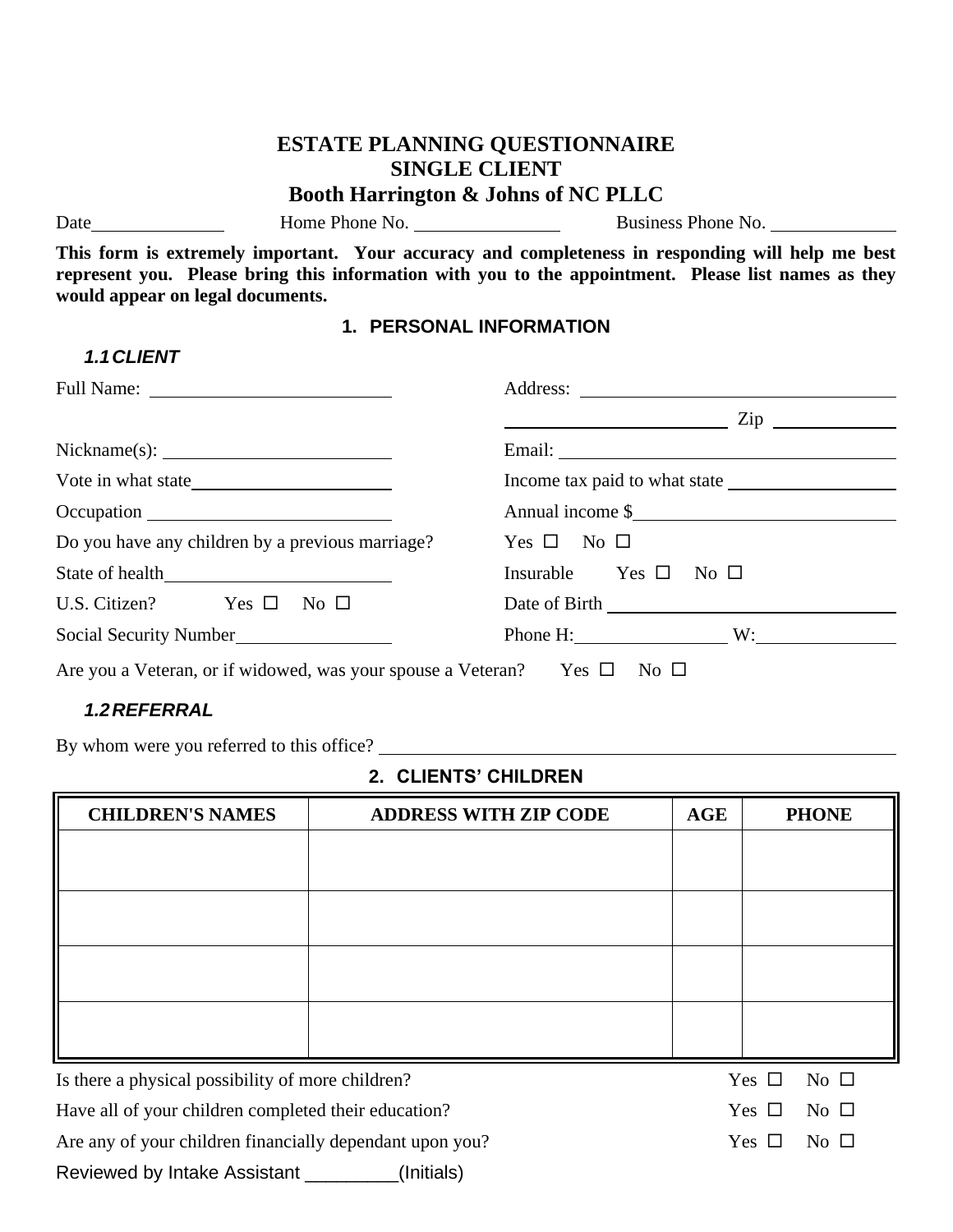# **ESTATE PLANNING QUESTIONNAIRE SINGLE CLIENT Booth Harrington & Johns of NC PLLC**

*1.1CLIENT*

Date Home Phone No. Business Phone No.

**This form is extremely important. Your accuracy and completeness in responding will help me best represent you. Please bring this information with you to the appointment. Please list names as they would appear on legal documents.**

### **1. PERSONAL INFORMATION**

| Nickname(s):                                                                            |                                      |
|-----------------------------------------------------------------------------------------|--------------------------------------|
|                                                                                         |                                      |
|                                                                                         | Annual income \$                     |
| Do you have any children by a previous marriage?                                        | Yes $\square$ No $\square$           |
|                                                                                         | Insurable Yes $\square$ No $\square$ |
| U.S. Citizen? $\qquad \qquad$ Yes $\Box$ No $\Box$                                      |                                      |
| Social Security Number                                                                  | Phone H: W:                          |
| Are you a Veteran, or if widowed, was your spouse a Veteran? Yes $\square$ No $\square$ |                                      |

### *1.2REFERRAL*

By whom were you referred to this office?

| 2. CLIENTS' CHILDREN                                     |                              |            |                               |  |  |
|----------------------------------------------------------|------------------------------|------------|-------------------------------|--|--|
| <b>CHILDREN'S NAMES</b>                                  | <b>ADDRESS WITH ZIP CODE</b> | <b>AGE</b> | <b>PHONE</b>                  |  |  |
|                                                          |                              |            |                               |  |  |
|                                                          |                              |            |                               |  |  |
|                                                          |                              |            |                               |  |  |
|                                                          |                              |            |                               |  |  |
|                                                          |                              |            |                               |  |  |
|                                                          |                              |            |                               |  |  |
|                                                          |                              |            |                               |  |  |
| Is there a physical possibility of more children?        |                              |            | Yes $\Box$<br>No $\Box$       |  |  |
| Have all of your children completed their education?     |                              |            | Yes $\Box$<br>$No \Box$       |  |  |
| Are any of your children financially dependant upon you? |                              |            | Yes $\Box$<br>$\rm No$ $\Box$ |  |  |

Reviewed by Intake Assistant \_\_\_\_\_\_\_\_\_(Initials)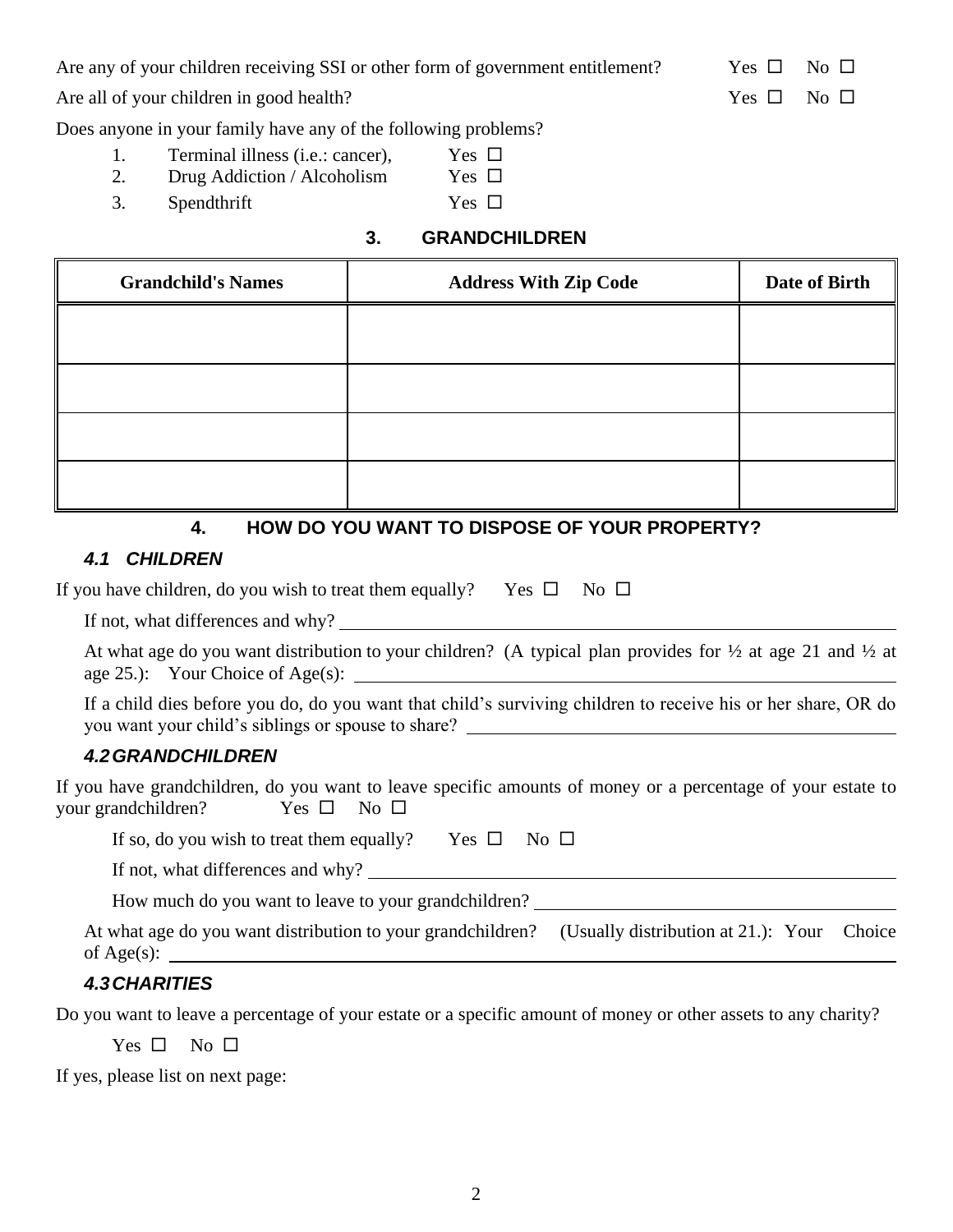Are any of your children receiving SSI or other form of government entitlement? Yes  $\square$  No  $\square$ 

Are all of your children in good health?  $Yes \Box No \Box$ 

Does anyone in your family have any of the following problems?

- 1. Terminal illness (i.e.: cancer), Yes  $\Box$
- 2. Drug Addiction / Alcoholism Yes  $\Box$
- 3. Spendthrift  $\qquad \qquad \text{Yes} \quad \Box$ 
	- **3. GRANDCHILDREN**

| <b>Grandchild's Names</b> | <b>Address With Zip Code</b> | Date of Birth |
|---------------------------|------------------------------|---------------|
|                           |                              |               |
|                           |                              |               |
|                           |                              |               |
|                           |                              |               |
|                           |                              |               |

## **4. HOW DO YOU WANT TO DISPOSE OF YOUR PROPERTY?**

## *4.1 CHILDREN*

|  |  | If you have children, do you wish to treat them equally? Yes $\square$ No $\square$ |  |  |
|--|--|-------------------------------------------------------------------------------------|--|--|
|--|--|-------------------------------------------------------------------------------------|--|--|

If not, what differences and why?

At what age do you want distribution to your children? (A typical plan provides for ½ at age 21 and ½ at age 25.): Your Choice of Age(s):

If a child dies before you do, do you want that child's surviving children to receive his or her share, OR do you want your child's siblings or spouse to share?

## *4.2GRANDCHILDREN*

If you have grandchildren, do you want to leave specific amounts of money or a percentage of your estate to your grandchildren? Yes  $\square$  No  $\square$ 

| If so, do you wish to treat them equally? | Yes $\square$ No $\square$ |  |
|-------------------------------------------|----------------------------|--|
|-------------------------------------------|----------------------------|--|

If not, what differences and why?

How much do you want to leave to your grandchildren?

At what age do you want distribution to your grandchildren? (Usually distribution at 21.): Your Choice of Age(s):  $\_\_\_\_\_\_\_\_\_\_\_\_\_\_\_\_\_$ 

# *4.3CHARITIES*

Do you want to leave a percentage of your estate or a specific amount of money or other assets to any charity?

Yes  $\square$  No  $\square$ 

If yes, please list on next page: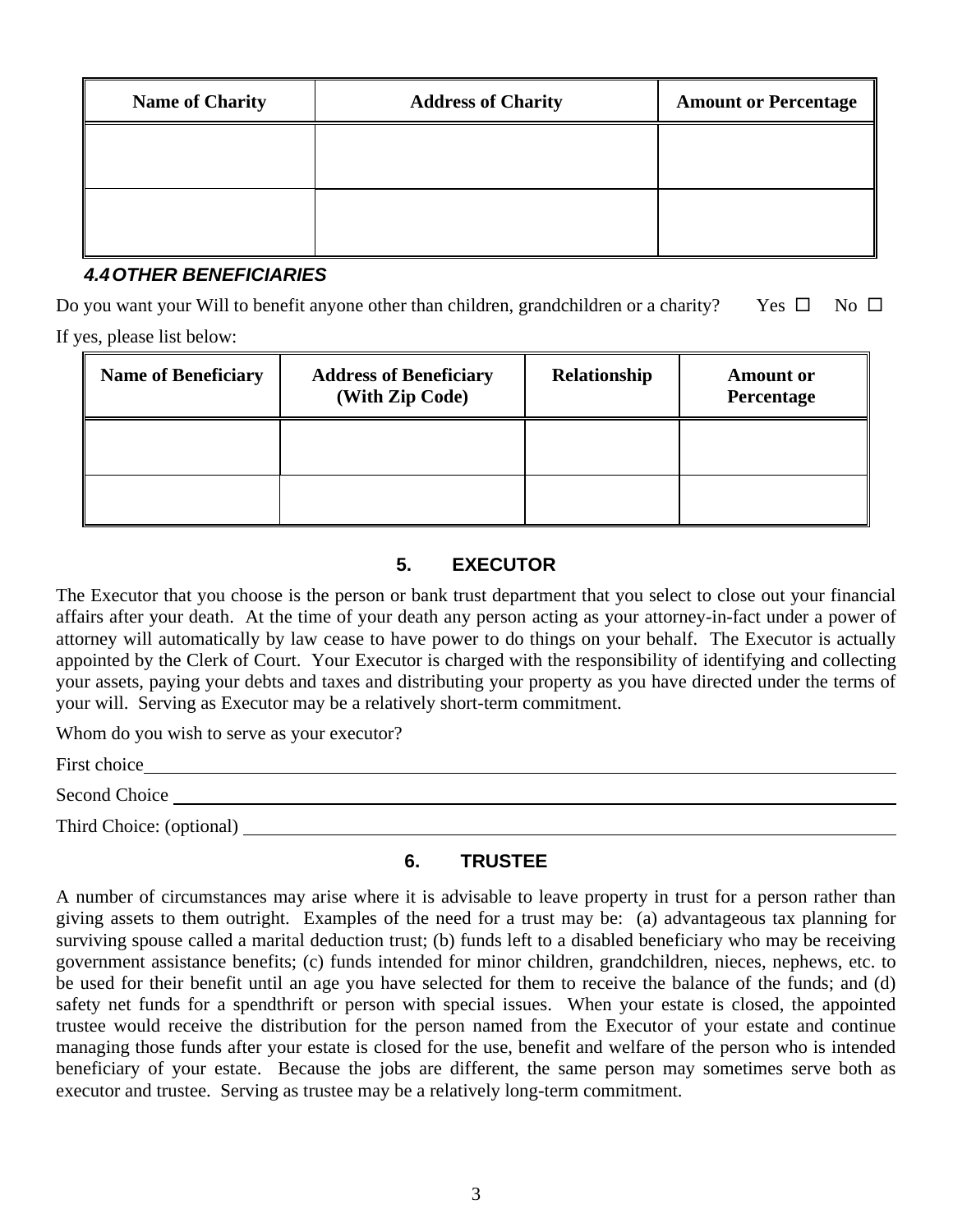| <b>Name of Charity</b> | <b>Address of Charity</b> | <b>Amount or Percentage</b> |
|------------------------|---------------------------|-----------------------------|
|                        |                           |                             |
|                        |                           |                             |
|                        |                           |                             |

## *4.4OTHER BENEFICIARIES*

Do you want your Will to benefit anyone other than children, grandchildren or a charity? Yes  $\Box$  No  $\Box$ If yes, please list below:

| <b>Name of Beneficiary</b> | <b>Address of Beneficiary</b><br>(With Zip Code) | Relationship | <b>Amount or</b><br>Percentage |
|----------------------------|--------------------------------------------------|--------------|--------------------------------|
|                            |                                                  |              |                                |
|                            |                                                  |              |                                |

## **5. EXECUTOR**

The Executor that you choose is the person or bank trust department that you select to close out your financial affairs after your death. At the time of your death any person acting as your attorney-in-fact under a power of attorney will automatically by law cease to have power to do things on your behalf. The Executor is actually appointed by the Clerk of Court. Your Executor is charged with the responsibility of identifying and collecting your assets, paying your debts and taxes and distributing your property as you have directed under the terms of your will. Serving as Executor may be a relatively short-term commitment.

Whom do you wish to serve as your executor?

First choice **First** choice **First** choice **First** choice **First** choice **First** choice **First** choice **First** choice **First** choice **First** choice **First** choice **First** choice **First** choice **First** choice **First** choice

Second Choice

Third Choice: (optional)

## **6. TRUSTEE**

A number of circumstances may arise where it is advisable to leave property in trust for a person rather than giving assets to them outright. Examples of the need for a trust may be: (a) advantageous tax planning for surviving spouse called a marital deduction trust; (b) funds left to a disabled beneficiary who may be receiving government assistance benefits; (c) funds intended for minor children, grandchildren, nieces, nephews, etc. to be used for their benefit until an age you have selected for them to receive the balance of the funds; and (d) safety net funds for a spendthrift or person with special issues. When your estate is closed, the appointed trustee would receive the distribution for the person named from the Executor of your estate and continue managing those funds after your estate is closed for the use, benefit and welfare of the person who is intended beneficiary of your estate. Because the jobs are different, the same person may sometimes serve both as executor and trustee. Serving as trustee may be a relatively long-term commitment.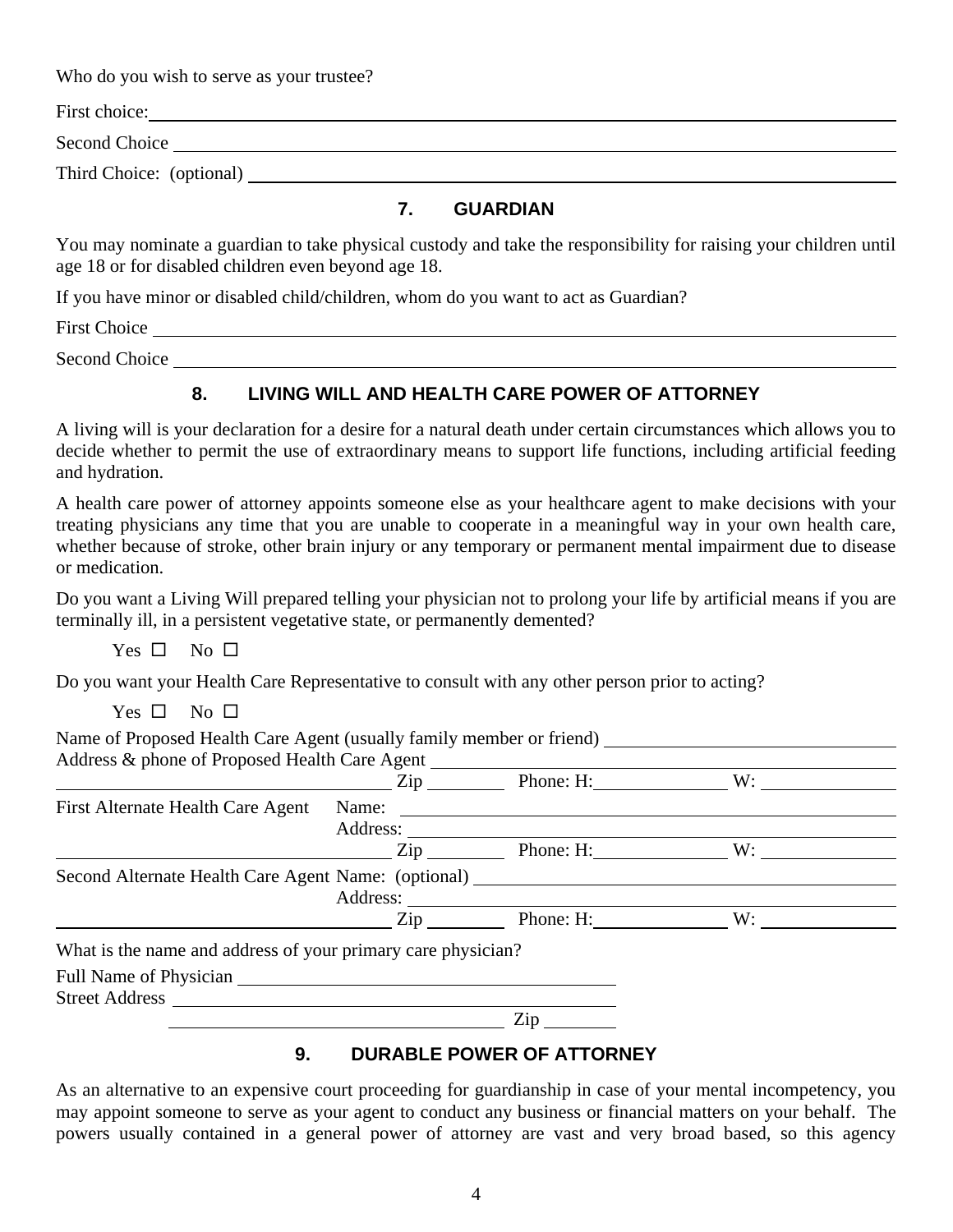Who do you wish to serve as your trustee?

| First choice:            |  |
|--------------------------|--|
| Second Choice            |  |
| Third Choice: (optional) |  |

#### **7. GUARDIAN**

You may nominate a guardian to take physical custody and take the responsibility for raising your children until age 18 or for disabled children even beyond age 18.

If you have minor or disabled child/children, whom do you want to act as Guardian?

First Choice

Second Choice

## **8. LIVING WILL AND HEALTH CARE POWER OF ATTORNEY**

A living will is your declaration for a desire for a natural death under certain circumstances which allows you to decide whether to permit the use of extraordinary means to support life functions, including artificial feeding and hydration.

A health care power of attorney appoints someone else as your healthcare agent to make decisions with your treating physicians any time that you are unable to cooperate in a meaningful way in your own health care, whether because of stroke, other brain injury or any temporary or permanent mental impairment due to disease or medication.

Do you want a Living Will prepared telling your physician not to prolong your life by artificial means if you are terminally ill, in a persistent vegetative state, or permanently demented?

Yes  $\square$  No  $\square$ 

Do you want your Health Care Representative to consult with any other person prior to acting?

Yes  $\square$  No  $\square$ 

Name of Proposed Health Care Agent (usually family member or friend) Address & phone of Proposed Health Care Agent

| Address $\alpha$ phone of Proposed Health Care Agent                              |                            |  |
|-----------------------------------------------------------------------------------|----------------------------|--|
|                                                                                   | $Zip$ Phone: H: W:         |  |
| First Alternate Health Care Agent                                                 | Name: $\qquad \qquad$      |  |
|                                                                                   |                            |  |
|                                                                                   | $\chi$ zip Phone: H: W:    |  |
| Second Alternate Health Care Agent Name: (optional) _____________________________ |                            |  |
|                                                                                   |                            |  |
|                                                                                   | $\chi$ zip Phone: H: W:    |  |
| What is the name and address of your primary care physician?                      |                            |  |
|                                                                                   |                            |  |
|                                                                                   |                            |  |
|                                                                                   | $\mathsf{Zip} \_\_\_\_\_\$ |  |
|                                                                                   |                            |  |

## **9. DURABLE POWER OF ATTORNEY**

As an alternative to an expensive court proceeding for guardianship in case of your mental incompetency, you may appoint someone to serve as your agent to conduct any business or financial matters on your behalf. The powers usually contained in a general power of attorney are vast and very broad based, so this agency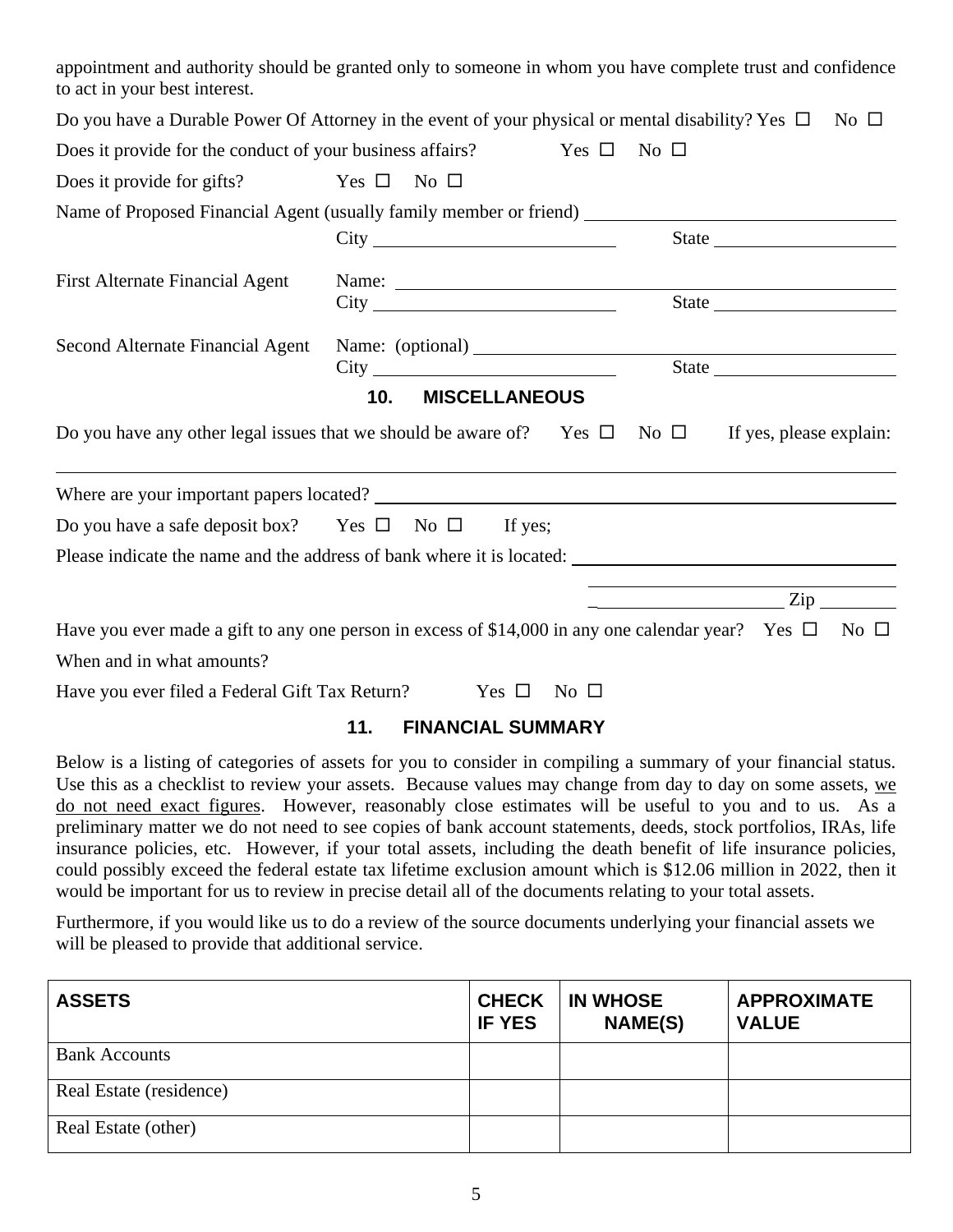| appointment and authority should be granted only to someone in whom you have complete trust and confidence<br>to act in your best interest. |                                 |            |                                                           |
|---------------------------------------------------------------------------------------------------------------------------------------------|---------------------------------|------------|-----------------------------------------------------------|
| Do you have a Durable Power Of Attorney in the event of your physical or mental disability? Yes $\Box$                                      |                                 |            | No $\Box$                                                 |
| Does it provide for the conduct of your business affairs?                                                                                   |                                 | Yes $\Box$ | No $\Box$                                                 |
| Does it provide for gifts?                                                                                                                  | Yes $\square$ No $\square$      |            |                                                           |
|                                                                                                                                             |                                 |            |                                                           |
|                                                                                                                                             |                                 |            |                                                           |
| <b>First Alternate Financial Agent</b>                                                                                                      |                                 |            | Name:                                                     |
|                                                                                                                                             |                                 |            | State                                                     |
| Second Alternate Financial Agent                                                                                                            | City City                       |            |                                                           |
| Do you have any other legal issues that we should be aware of? Yes $\square$ No $\square$ If yes, please explain:                           | 10.<br><b>MISCELLANEOUS</b>     |            |                                                           |
| Where are your important papers located?                                                                                                    |                                 |            |                                                           |
| Do you have a safe deposit box? Yes $\square$ No $\square$ If yes;                                                                          |                                 |            |                                                           |
| Please indicate the name and the address of bank where it is located:                                                                       |                                 |            |                                                           |
|                                                                                                                                             |                                 |            | $\overline{\mathrm{Zip}}$<br><u> Alexandria (m. 1888)</u> |
| Have you ever made a gift to any one person in excess of \$14,000 in any one calendar year? Yes $\Box$ No $\Box$                            |                                 |            |                                                           |
| When and in what amounts?                                                                                                                   |                                 |            |                                                           |
| Have you ever filed a Federal Gift Tax Return? Yes □                                                                                        |                                 | No $\Box$  |                                                           |
|                                                                                                                                             | <b>FINANCIAL SUMMARY</b><br>11. |            |                                                           |

Below is a listing of categories of assets for you to consider in compiling a summary of your financial status. Use this as a checklist to review your assets. Because values may change from day to day on some assets, we do not need exact figures. However, reasonably close estimates will be useful to you and to us. As a preliminary matter we do not need to see copies of bank account statements, deeds, stock portfolios, IRAs, life insurance policies, etc. However, if your total assets, including the death benefit of life insurance policies, could possibly exceed the federal estate tax lifetime exclusion amount which is \$12.06 million in 2022, then it would be important for us to review in precise detail all of the documents relating to your total assets.

Furthermore, if you would like us to do a review of the source documents underlying your financial assets we will be pleased to provide that additional service.

| <b>ASSETS</b>           | <b>CHECK</b><br><b>IF YES</b> | <b>IN WHOSE</b><br>NAME(S) | <b>APPROXIMATE</b><br><b>VALUE</b> |
|-------------------------|-------------------------------|----------------------------|------------------------------------|
| <b>Bank Accounts</b>    |                               |                            |                                    |
| Real Estate (residence) |                               |                            |                                    |
| Real Estate (other)     |                               |                            |                                    |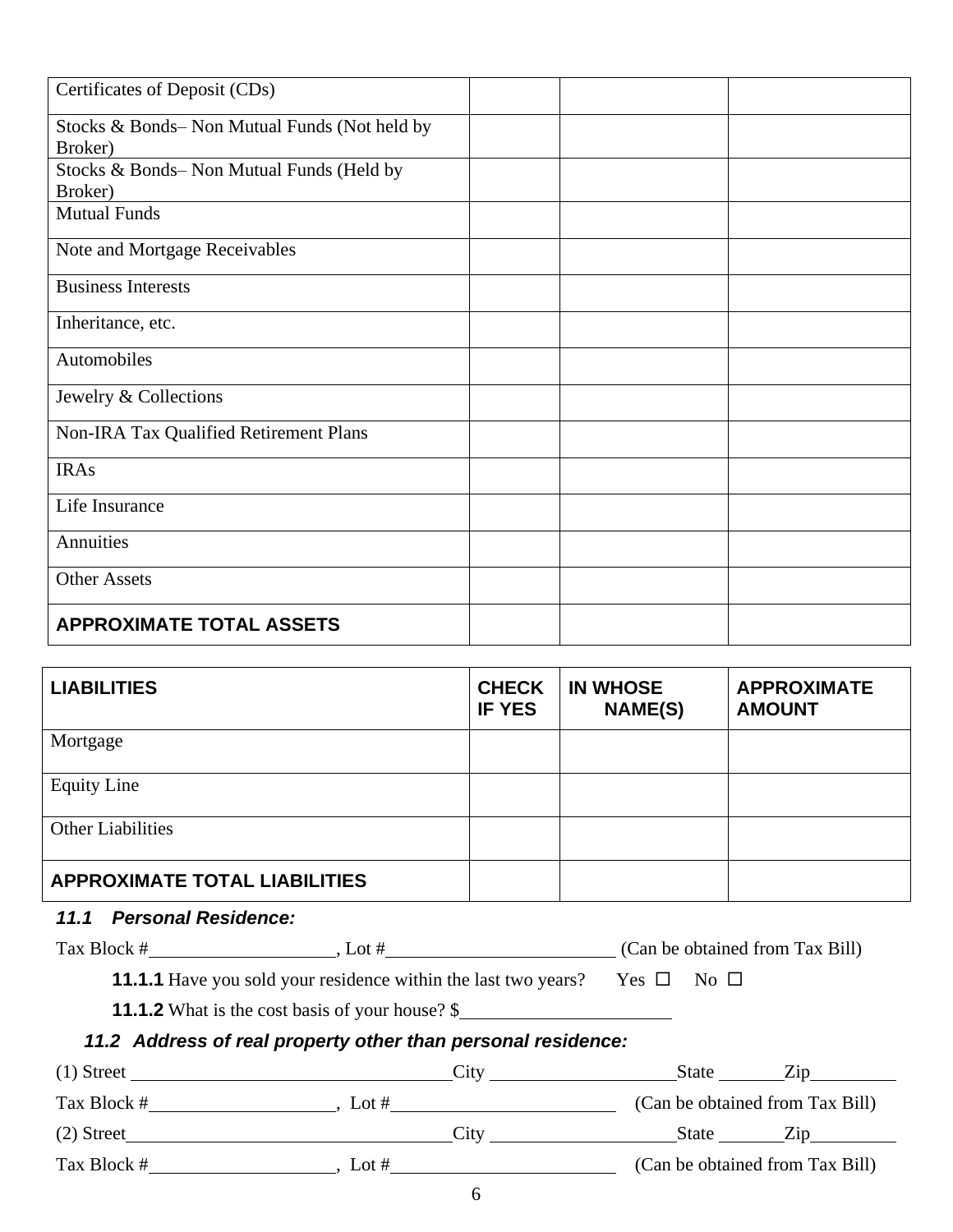| Certificates of Deposit (CDs)                |  |
|----------------------------------------------|--|
| Stocks & Bonds-Non Mutual Funds (Not held by |  |
| Broker)                                      |  |
| Stocks & Bonds-Non Mutual Funds (Held by     |  |
| Broker)                                      |  |
| <b>Mutual Funds</b>                          |  |
| Note and Mortgage Receivables                |  |
| <b>Business Interests</b>                    |  |
| Inheritance, etc.                            |  |
| Automobiles                                  |  |
| Jewelry & Collections                        |  |
| Non-IRA Tax Qualified Retirement Plans       |  |
| <b>IRAs</b>                                  |  |
| Life Insurance                               |  |
| Annuities                                    |  |
| <b>Other Assets</b>                          |  |
| <b>APPROXIMATE TOTAL ASSETS</b>              |  |

| <b>LIABILITIES</b>                   | <b>CHECK</b><br><b>IF YES</b> | <b>IN WHOSE</b><br><b>NAME(S)</b> | <b>APPROXIMATE</b><br><b>AMOUNT</b> |
|--------------------------------------|-------------------------------|-----------------------------------|-------------------------------------|
| Mortgage                             |                               |                                   |                                     |
| <b>Equity Line</b>                   |                               |                                   |                                     |
| <b>Other Liabilities</b>             |                               |                                   |                                     |
| <b>APPROXIMATE TOTAL LIABILITIES</b> |                               |                                   |                                     |

### *11.1 Personal Residence:*

**11.1.1** Have you sold your residence within the last two years? Yes  $\Box$  No  $\Box$ 

**11.1.2** What is the cost basis of your house? \$

# *11.2 Address of real property other than personal residence:*

| $(1)$ Street |         | City         | Zin<br><b>State</b>              |
|--------------|---------|--------------|----------------------------------|
| Tax Block #  | Lot $#$ |              | (Can be obtained from Tax Bill)  |
| $(2)$ Street |         | $\gamma$ ity | <b>State</b><br>7 <sub>1</sub> n |
| Tax Block #  | Lot #   |              | (Can be obtained from Tax Bill)  |